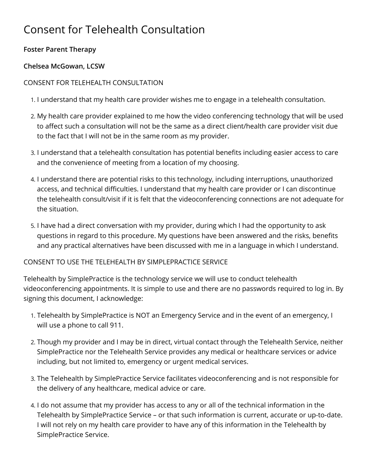# Consent for Telehealth Consultation

## **Foster Parent Therapy**

### **Chelsea McGowan, LCSW**

## CONSENT FOR TELEHEALTH CONSULTATION

- 1. I understand that my health care provider wishes me to engage in a telehealth consultation.
- 2. My health care provider explained to me how the video conferencing technology that will be used to affect such a consultation will not be the same as a direct client/health care provider visit due to the fact that I will not be in the same room as my provider.
- 3. I understand that a telehealth consultation has potential benefits including easier access to care and the convenience of meeting from a location of my choosing.
- 4. I understand there are potential risks to this technology, including interruptions, unauthorized access, and technical difficulties. I understand that my health care provider or I can discontinue the telehealth consult/visit if it is felt that the videoconferencing connections are not adequate for the situation.
- 5. I have had a direct conversation with my provider, during which I had the opportunity to ask questions in regard to this procedure. My questions have been answered and the risks, benefits and any practical alternatives have been discussed with me in a language in which I understand.

#### CONSENT TO USE THE TELEHEALTH BY SIMPLEPRACTICE SERVICE

Telehealth by SimplePractice is the technology service we will use to conduct telehealth videoconferencing appointments. It is simple to use and there are no passwords required to log in. By signing this document, I acknowledge:

- 1. Telehealth by SimplePractice is NOT an Emergency Service and in the event of an emergency, I will use a phone to call 911.
- 2. Though my provider and I may be in direct, virtual contact through the Telehealth Service, neither SimplePractice nor the Telehealth Service provides any medical or healthcare services or advice including, but not limited to, emergency or urgent medical services.
- 3. The Telehealth by SimplePractice Service facilitates videoconferencing and is not responsible for the delivery of any healthcare, medical advice or care.
- 4. I do not assume that my provider has access to any or all of the technical information in the Telehealth by SimplePractice Service – or that such information is current, accurate or up-to-date. I will not rely on my health care provider to have any of this information in the Telehealth by SimplePractice Service.